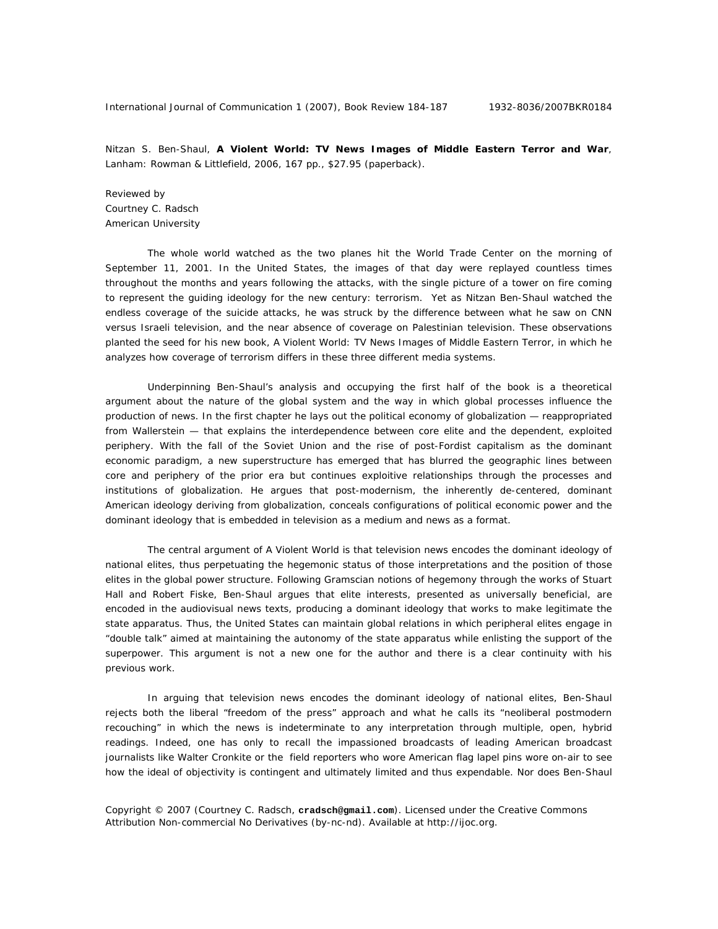Nitzan S. Ben-Shaul, **A Violent World: TV News Images of Middle Eastern Terror and War**, Lanham: Rowman & Littlefield, 2006, 167 pp., \$27.95 (paperback).

Reviewed by Courtney C. Radsch American University

The whole world watched as the two planes hit the World Trade Center on the morning of September 11, 2001. In the United States, the images of that day were replayed countless times throughout the months and years following the attacks, with the single picture of a tower on fire coming to represent the guiding ideology for the new century: terrorism. Yet as Nitzan Ben-Shaul watched the endless coverage of the suicide attacks, he was struck by the difference between what he saw on CNN versus Israeli television, and the near absence of coverage on Palestinian television. These observations planted the seed for his new book, *A Violent World: TV News Images of Middle Eastern Terror*, in which he analyzes how coverage of terrorism differs in these three different media systems.

Underpinning Ben-Shaul's analysis and occupying the first half of the book is a theoretical argument about the nature of the global system and the way in which global processes influence the production of news. In the first chapter he lays out the political economy of globalization — reappropriated from Wallerstein — that explains the interdependence between core elite and the dependent, exploited periphery. With the fall of the Soviet Union and the rise of post-Fordist capitalism as the dominant economic paradigm, a new superstructure has emerged that has blurred the geographic lines between core and periphery of the prior era but continues exploitive relationships through the processes and institutions of globalization. He argues that post-modernism, the inherently de-centered, dominant American ideology deriving from globalization, conceals configurations of political economic power and the dominant ideology that is embedded in television as a medium and news as a format.

The central argument of *A Violent World* is that television news encodes the dominant ideology of national elites, thus perpetuating the hegemonic status of those interpretations and the position of those elites in the global power structure. Following Gramscian notions of hegemony through the works of Stuart Hall and Robert Fiske, Ben-Shaul argues that elite interests, presented as universally beneficial, are encoded in the audiovisual news texts, producing a dominant ideology that works to make legitimate the state apparatus. Thus, the United States can maintain global relations in which peripheral elites engage in "double talk" aimed at maintaining the autonomy of the state apparatus while enlisting the support of the superpower. This argument is not a new one for the author and there is a clear continuity with his previous work.

In arguing that television news encodes the dominant ideology of national elites, Ben-Shaul rejects both the liberal "freedom of the press" approach and what he calls its "neoliberal postmodern recouching" in which the news is indeterminate to any interpretation through multiple, open, hybrid readings. Indeed, one has only to recall the impassioned broadcasts of leading American broadcast journalists like Walter Cronkite or the field reporters who wore American flag lapel pins wore on-air to see how the ideal of objectivity is contingent and ultimately limited and thus expendable. Nor does Ben-Shaul

Copyright © 2007 (Courtney C. Radsch, **cradsch@gmail.com**). Licensed under the Creative Commons Attribution Non-commercial No Derivatives (by-nc-nd). Available at http://ijoc.org.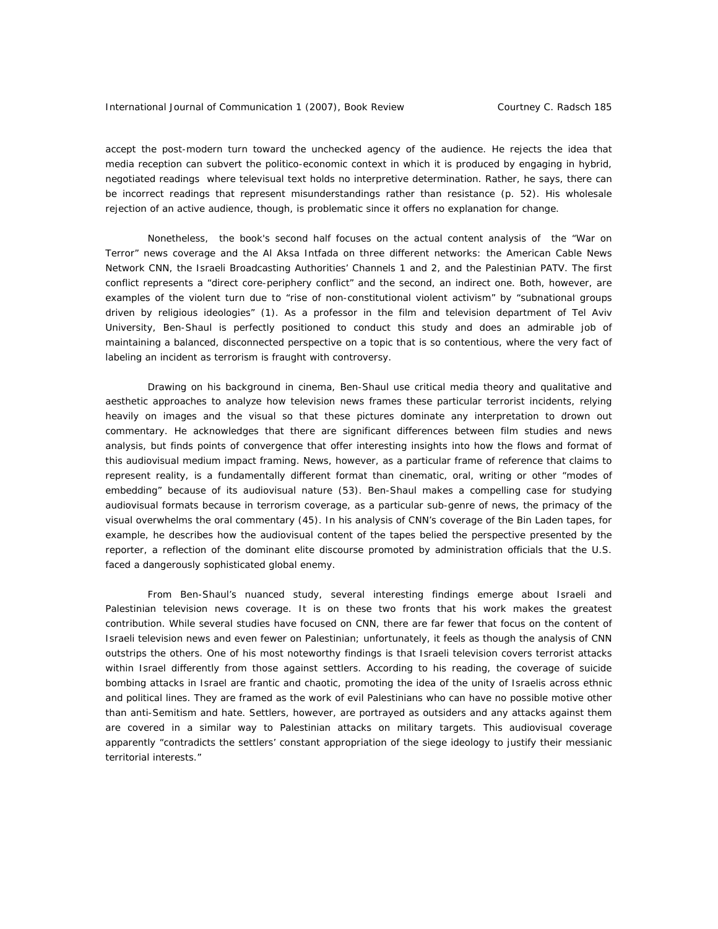accept the post-modern turn toward the unchecked agency of the audience. He rejects the idea that media reception can subvert the politico-economic context in which it is produced by engaging in hybrid, negotiated readings where televisual text holds no interpretive determination. Rather, he says, there can be incorrect readings that represent misunderstandings rather than resistance (p. 52). His wholesale rejection of an active audience, though, is problematic since it offers no explanation for change.

Nonetheless, the book's second half focuses on the actual content analysis of the "War on Terror" news coverage and the Al Aksa Intfada on three different networks: the American Cable News Network CNN, the Israeli Broadcasting Authorities' Channels 1 and 2, and the Palestinian PATV. The first conflict represents a "direct core-periphery conflict" and the second, an indirect one. Both, however, are examples of the violent turn due to "rise of non-constitutional violent activism" by "subnational groups driven by religious ideologies" (1). As a professor in the film and television department of Tel Aviv University, Ben-Shaul is perfectly positioned to conduct this study and does an admirable job of maintaining a balanced, disconnected perspective on a topic that is so contentious, where the very fact of labeling an incident as terrorism is fraught with controversy.

Drawing on his background in cinema, Ben-Shaul use critical media theory and qualitative and aesthetic approaches to analyze how television news frames these particular terrorist incidents, relying heavily on images and the visual so that these pictures dominate any interpretation to drown out commentary. He acknowledges that there are significant differences between film studies and news analysis, but finds points of convergence that offer interesting insights into how the flows and format of this audiovisual medium impact framing. News, however, as a particular frame of reference that claims to represent reality, is a fundamentally different format than cinematic, oral, writing or other "modes of embedding" because of its audiovisual nature (53). Ben-Shaul makes a compelling case for studying audiovisual formats because in terrorism coverage, as a particular sub-genre of news, the primacy of the visual overwhelms the oral commentary (45). In his analysis of CNN's coverage of the Bin Laden tapes, for example, he describes how the audiovisual content of the tapes belied the perspective presented by the reporter, a reflection of the dominant elite discourse promoted by administration officials that the U.S. faced a dangerously sophisticated global enemy.

From Ben-Shaul's nuanced study, several interesting findings emerge about Israeli and Palestinian television news coverage. It is on these two fronts that his work makes the greatest contribution. While several studies have focused on CNN, there are far fewer that focus on the content of Israeli television news and even fewer on Palestinian; unfortunately, it feels as though the analysis of CNN outstrips the others. One of his most noteworthy findings is that Israeli television covers terrorist attacks within Israel differently from those against settlers. According to his reading, the coverage of suicide bombing attacks in Israel are frantic and chaotic, promoting the idea of the unity of Israelis across ethnic and political lines. They are framed as the work of evil Palestinians who can have no possible motive other than anti-Semitism and hate. Settlers, however, are portrayed as outsiders and any attacks against them are covered in a similar way to Palestinian attacks on military targets. This audiovisual coverage apparently "contradicts the settlers' constant appropriation of the siege ideology to justify their messianic territorial interests."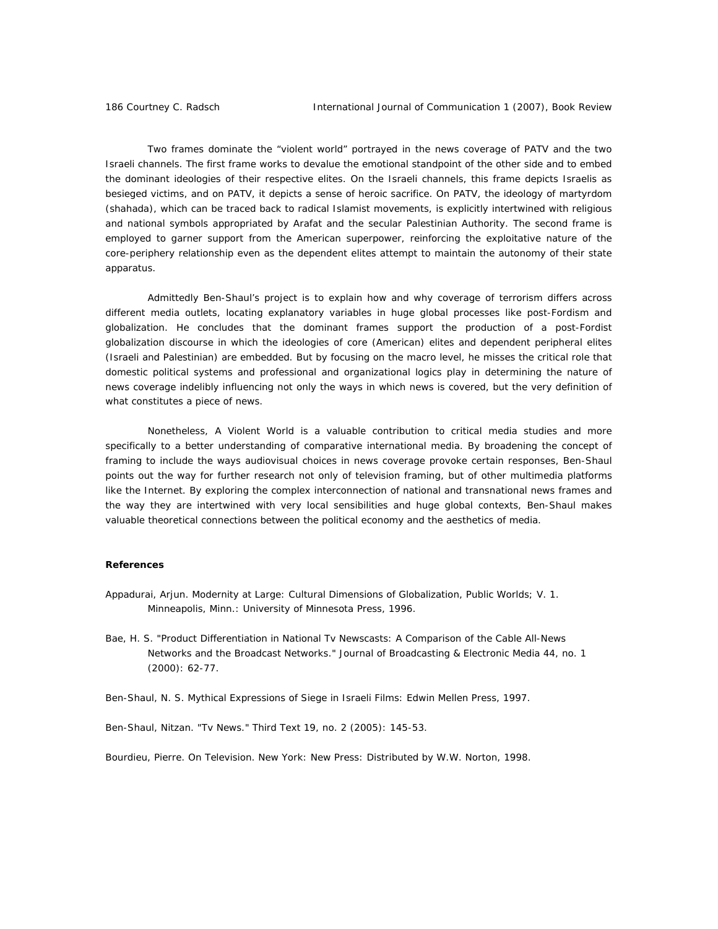Two frames dominate the "violent world" portrayed in the news coverage of PATV and the two Israeli channels. The first frame works to devalue the emotional standpoint of the other side and to embed the dominant ideologies of their respective elites. On the Israeli channels, this frame depicts Israelis as besieged victims, and on PATV, it depicts a sense of heroic sacrifice. On PATV, the ideology of martyrdom (shahada), which can be traced back to radical Islamist movements, is explicitly intertwined with religious and national symbols appropriated by Arafat and the secular Palestinian Authority. The second frame is employed to garner support from the American superpower, reinforcing the exploitative nature of the core-periphery relationship even as the dependent elites attempt to maintain the autonomy of their state apparatus.

Admittedly Ben-Shaul's project is to explain how and why coverage of terrorism differs across different media outlets, locating explanatory variables in huge global processes like post-Fordism and globalization. He concludes that the dominant frames support the production of a post-Fordist globalization discourse in which the ideologies of core (American) elites and dependent peripheral elites (Israeli and Palestinian) are embedded. But by focusing on the macro level, he misses the critical role that domestic political systems and professional and organizational logics play in determining the nature of news coverage indelibly influencing not only the ways in which news is covered, but the very definition of what constitutes a piece of news.

Nonetheless, *A Violent World* is a valuable contribution to critical media studies and more specifically to a better understanding of comparative international media. By broadening the concept of framing to include the ways audiovisual choices in news coverage provoke certain responses, Ben-Shaul points out the way for further research not only of television framing, but of other multimedia platforms like the Internet. By exploring the complex interconnection of national and transnational news frames and the way they are intertwined with very local sensibilities and huge global contexts, Ben-Shaul makes valuable theoretical connections between the political economy and the aesthetics of media.

## **References**

- Appadurai, Arjun. *Modernity at Large: Cultural Dimensions of Globalization*, *Public Worlds; V. 1*. Minneapolis, Minn.: University of Minnesota Press, 1996.
- Bae, H. S. "Product Differentiation in National Tv Newscasts: A Comparison of the Cable All-News Networks and the Broadcast Networks." *Journal of Broadcasting & Electronic Media* 44, no. 1 (2000): 62-77.

Ben-Shaul, N. S. *Mythical Expressions of Siege in Israeli Films*: Edwin Mellen Press, 1997.

Ben-Shaul, Nitzan. "Tv News." *Third Text* 19, no. 2 (2005): 145-53.

Bourdieu, Pierre. *On Television*. New York: New Press: Distributed by W.W. Norton, 1998.